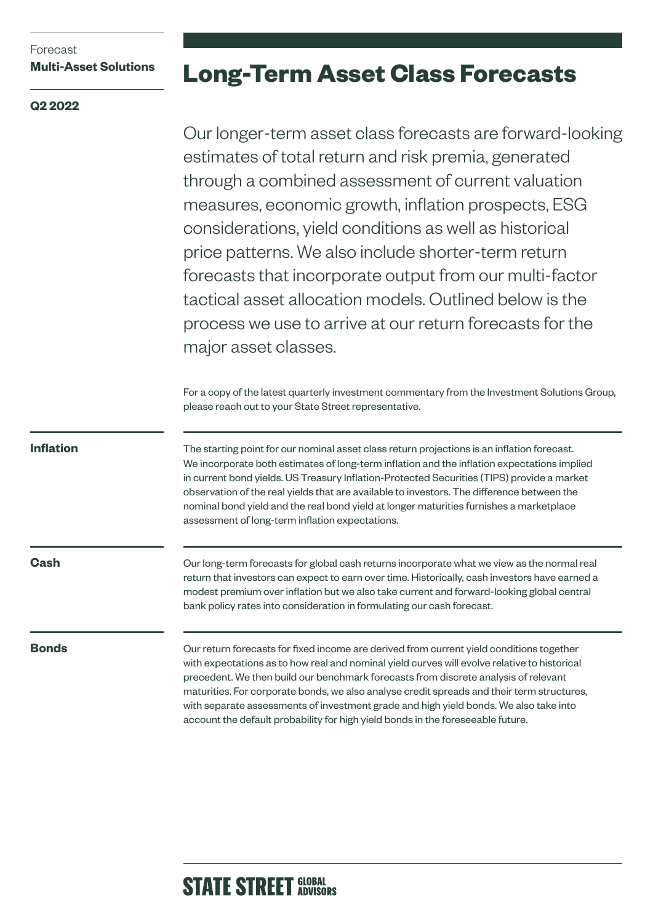# Forecast **Multi-Asset Solutions**

# **Q2 2022**

# **Long-Term Asset Class Forecasts**

Our longer-term asset class forecasts are forward-looking estimates of total return and risk premia, generated through a combined assessment of current valuation measures, economic growth, inflation prospects, ESG considerations, yield conditions as well as historical price patterns. We also include shorter-term return forecasts that incorporate output from our multi-factor tactical asset allocation models. Outlined below is the process we use to arrive at our return forecasts for the major asset classes.

For a copy of the latest quarterly investment commentary from the Investment Solutions Group, please reach out to your State Street representative.

**Inflation**

The starting point for our nominal asset class return projections is an inflation forecast. We incorporate both estimates of long-term inflation and the inflation expectations implied in current bond yields. US Treasury Inflation-Protected Securities (TIPS) provide a market observation of the real yields that are available to investors. The difference between the nominal bond yield and the real bond yield at longer maturities furnishes a marketplace assessment of long-term inflation expectations.

**Cash**

Our long-term forecasts for global cash returns incorporate what we view as the normal real return that investors can expect to earn over time. Historically, cash investors have earned a modest premium over inflation but we also take current and forward-looking global central bank policy rates into consideration in formulating our cash forecast.

## **Bonds**

Our return forecasts for fixed income are derived from current yield conditions together with expectations as to how real and nominal yield curves will evolve relative to historical precedent. We then build our benchmark forecasts from discrete analysis of relevant maturities. For corporate bonds, we also analyse credit spreads and their term structures, with separate assessments of investment grade and high yield bonds. We also take into account the default probability for high yield bonds in the foreseeable future.

# **STATE STREET GLOBAL**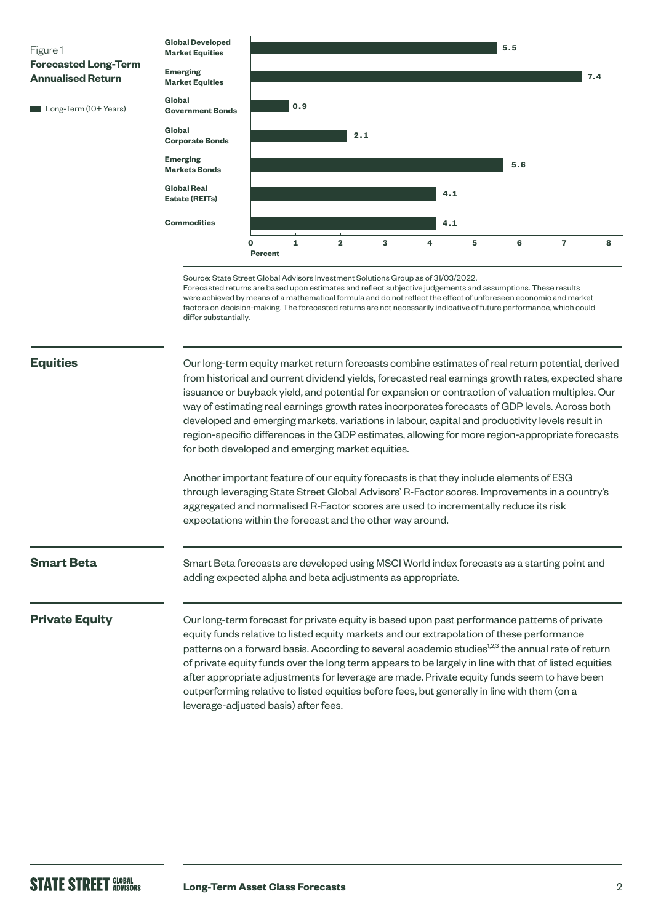

### **Equities**

Our long-term equity market return forecasts combine estimates of real return potential, derived from historical and current dividend yields, forecasted real earnings growth rates, expected share issuance or buyback yield, and potential for expansion or contraction of valuation multiples. Our way of estimating real earnings growth rates incorporates forecasts of GDP levels. Across both developed and emerging markets, variations in labour, capital and productivity levels result in region-specific differences in the GDP estimates, allowing for more region-appropriate forecasts for both developed and emerging market equities.

Another important feature of our equity forecasts is that they include elements of ESG through leveraging State Street Global Advisors' R-Factor scores. Improvements in a country's aggregated and normalised R-Factor scores are used to incrementally reduce its risk expectations within the forecast and the other way around.

### **Smart Beta**

Smart Beta forecasts are developed using MSCI World index forecasts as a starting point and adding expected alpha and beta adjustments as appropriate.

### **Private Equity**

Our long-term forecast for private equity is based upon past performance patterns of private equity funds relative to listed equity markets and our extrapolation of these performance patterns on a forward basis. According to several academic studies<sup>12,3</sup> the annual rate of return of private equity funds over the long term appears to be largely in line with that of listed equities after appropriate adjustments for leverage are made. Private equity funds seem to have been outperforming relative to listed equities before fees, but generally in line with them (on a leverage-adjusted basis) after fees.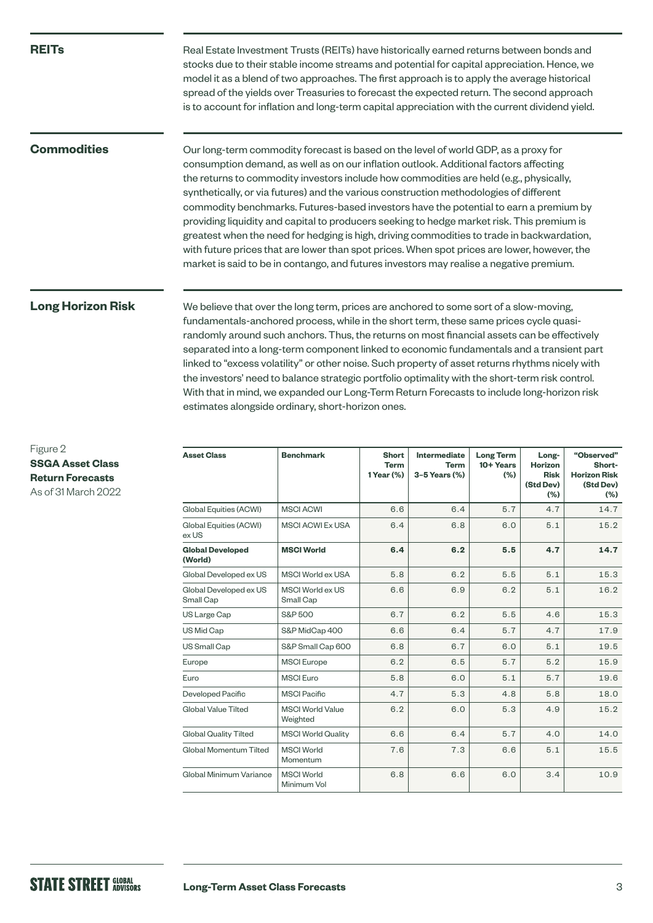### **REITs**

Real Estate Investment Trusts (REITs) have historically earned returns between bonds and stocks due to their stable income streams and potential for capital appreciation. Hence, we model it as a blend of two approaches. The first approach is to apply the average historical spread of the yields over Treasuries to forecast the expected return. The second approach is to account for inflation and long-term capital appreciation with the current dividend yield.

## **Commodities**

Our long-term commodity forecast is based on the level of world GDP, as a proxy for consumption demand, as well as on our inflation outlook. Additional factors affecting the returns to commodity investors include how commodities are held (e.g., physically, synthetically, or via futures) and the various construction methodologies of different commodity benchmarks. Futures-based investors have the potential to earn a premium by providing liquidity and capital to producers seeking to hedge market risk. This premium is greatest when the need for hedging is high, driving commodities to trade in backwardation, with future prices that are lower than spot prices. When spot prices are lower, however, the market is said to be in contango, and futures investors may realise a negative premium.

# **Long Horizon Risk**

We believe that over the long term, prices are anchored to some sort of a slow-moving, fundamentals-anchored process, while in the short term, these same prices cycle quasirandomly around such anchors. Thus, the returns on most financial assets can be effectively separated into a long-term component linked to economic fundamentals and a transient part linked to "excess volatility" or other noise. Such property of asset returns rhythms nicely with the investors' need to balance strategic portfolio optimality with the short-term risk control. With that in mind, we expanded our Long-Term Return Forecasts to include long-horizon risk estimates alongside ordinary, short-horizon ones.

| <b>Asset Class</b>                  | <b>Benchmark</b>                    | <b>Short</b><br><b>Term</b><br>1 Year (%) | Intermediate<br><b>Term</b><br>3-5 Years (%) | <b>Long Term</b><br>10+ Years<br>(% ) | Long-<br><b>Horizon</b><br><b>Risk</b><br>(Std Dev)<br>(%) | "Observed"<br>Short-<br><b>Horizon Risk</b><br>(Std Dev)<br>(%) |
|-------------------------------------|-------------------------------------|-------------------------------------------|----------------------------------------------|---------------------------------------|------------------------------------------------------------|-----------------------------------------------------------------|
| Global Equities (ACWI)              | <b>MSCI ACWI</b>                    | 6.6                                       | 6.4                                          | 5.7                                   | 4.7                                                        | 14.7                                                            |
| Global Equities (ACWI)<br>ex US     | <b>MSCI ACWI Ex USA</b>             | 6.4                                       | 6.8                                          | 6.0                                   | 5.1                                                        | 15.2                                                            |
| <b>Global Developed</b><br>(World)  | <b>MSCI World</b>                   | 6.4                                       | 6.2                                          | 5.5                                   | 4.7                                                        | 14.7                                                            |
| Global Developed ex US              | MSCI World ex USA                   | 5.8                                       | 6.2                                          | 5.5                                   | 5.1                                                        | 15.3                                                            |
| Global Developed ex US<br>Small Cap | MSCI World ex US<br>Small Cap       | 6.6                                       | 6.9                                          | 6.2                                   | 5.1                                                        | 16.2                                                            |
| US Large Cap                        | S&P 500                             | 6.7                                       | 6.2                                          | 5.5                                   | 4.6                                                        | 15.3                                                            |
| US Mid Cap                          | S&P MidCap 400                      | 6.6                                       | 6.4                                          | 5.7                                   | 4.7                                                        | 17.9                                                            |
| US Small Cap                        | S&P Small Cap 600                   | 6.8                                       | 6.7                                          | 6.0                                   | 5.1                                                        | 19.5                                                            |
| Europe                              | <b>MSCI</b> Europe                  | 6.2                                       | 6.5                                          | 5.7                                   | 5.2                                                        | 15.9                                                            |
| Euro                                | <b>MSCI</b> Euro                    | 5.8                                       | 6.0                                          | 5.1                                   | 5.7                                                        | 19.6                                                            |
| Developed Pacific                   | <b>MSCI Pacific</b>                 | 4.7                                       | 5.3                                          | 4.8                                   | 5.8                                                        | 18.0                                                            |
| Global Value Tilted                 | <b>MSCI World Value</b><br>Weighted | 6.2                                       | 6.0                                          | 5.3                                   | 4.9                                                        | 15.2                                                            |
| <b>Global Quality Tilted</b>        | <b>MSCI World Quality</b>           | 6.6                                       | 6.4                                          | 5.7                                   | 4.0                                                        | 14.0                                                            |
| Global Momentum Tilted              | <b>MSCI World</b><br>Momentum       | 7.6                                       | 7.3                                          | 6.6                                   | 5.1                                                        | 15.5                                                            |
| Global Minimum Variance             | <b>MSCI World</b><br>Minimum Vol    | 6.8                                       | 6.6                                          | 6.0                                   | 3.4                                                        | 10.9                                                            |

Figure 2 **SSGA Asset Class Return Forecasts** As of 31 March 2022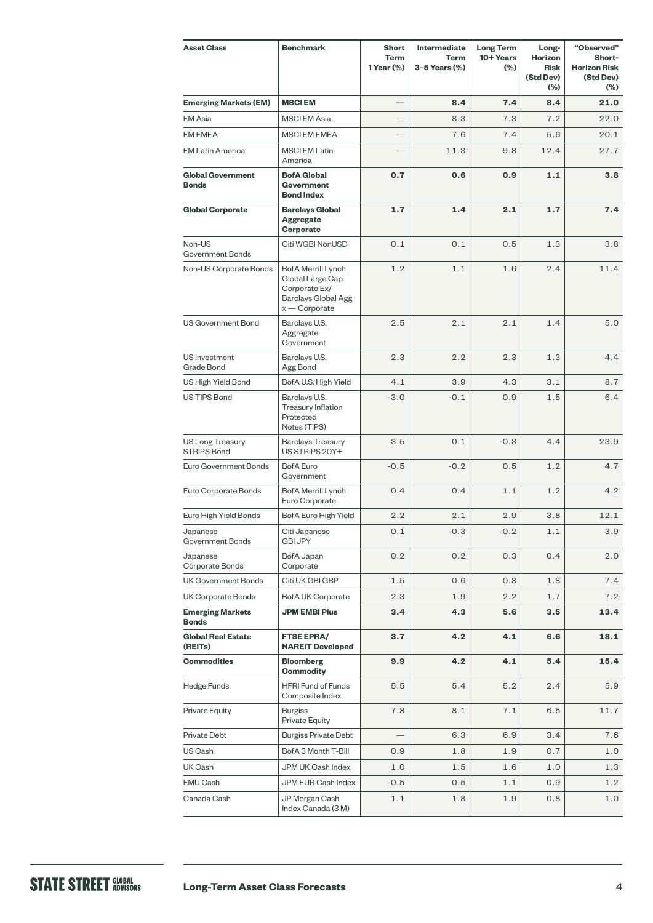| <b>Asset Class</b>                            | <b>Benchmark</b>                                                                                  | <b>Short</b><br>Term<br>1 Year (%) | Intermediate<br><b>Term</b><br>3-5 Years (%) | <b>Long Term</b><br>10+ Years<br>(%) | Long-<br>Horizon<br><b>Risk</b><br>(Std Dev)<br>$(\% )$ | "Observed"<br>Short-<br><b>Horizon Risk</b><br>(Std Dev)<br>$(\%)$ |
|-----------------------------------------------|---------------------------------------------------------------------------------------------------|------------------------------------|----------------------------------------------|--------------------------------------|---------------------------------------------------------|--------------------------------------------------------------------|
| <b>Emerging Markets (EM)</b>                  | <b>MSCIEM</b>                                                                                     | $\overline{\phantom{0}}$           | 8.4                                          | 7.4                                  | 8.4                                                     | 21.0                                                               |
| <b>EM</b> Asia                                | <b>MSCI EM Asia</b>                                                                               |                                    | 8.3                                          | 7.3                                  | 7.2                                                     | 22.0                                                               |
| <b>EM EMEA</b>                                | <b>MSCI EM EMEA</b>                                                                               |                                    | 7.6                                          | 7.4                                  | 5.6                                                     | 20.1                                                               |
| <b>EM Latin America</b>                       | <b>MSCI EM Latin</b><br>America                                                                   |                                    | 11.3                                         | 9.8                                  | 12.4                                                    | 27.7                                                               |
| <b>Global Government</b><br><b>Bonds</b>      | <b>BofA Global</b><br><b>Government</b><br><b>Bond Index</b>                                      | 0.7                                | 0.6                                          | 0.9                                  | 1.1                                                     | 3.8                                                                |
| <b>Global Corporate</b>                       | <b>Barclays Global</b><br><b>Aggregate</b><br>Corporate                                           | 1.7                                | 1.4                                          | 2.1                                  | 1.7                                                     | 7.4                                                                |
| Non-US<br><b>Government Bonds</b>             | Citi WGBI NonUSD                                                                                  | 0.1                                | 0.1                                          | 0.5                                  | 1.3                                                     | 3.8                                                                |
| Non-US Corporate Bonds                        | BofA Merrill Lynch<br>Global Large Cap<br>Corporate Ex/<br>Barclays Global Agg<br>$x -$ Corporate | 1.2                                | 1.1                                          | 1.6                                  | 2.4                                                     | 11.4                                                               |
| US Government Bond                            | Barclays U.S.<br>Aggregate<br>Government                                                          | 2.5                                | 2.1                                          | 2.1                                  | 1.4                                                     | 5.0                                                                |
| US Investment<br>Grade Bond                   | Barclays U.S.<br>Agg Bond                                                                         | 2.3                                | 2.2                                          | 2.3                                  | 1.3                                                     | 4.4                                                                |
| US High Yield Bond                            | BofA U.S. High Yield                                                                              | 4.1                                | 3.9                                          | 4.3                                  | 3.1                                                     | 8.7                                                                |
| <b>US TIPS Bond</b>                           | Barclays U.S.<br><b>Treasury Inflation</b><br>Protected<br>Notes (TIPS)                           | $-3.0$                             | $-0.1$                                       | 0.9                                  | 1.5                                                     | 6.4                                                                |
| <b>US Long Treasury</b><br><b>STRIPS Bond</b> | <b>Barclays Treasury</b><br>US STRIPS 20Y+                                                        | 3.5                                | 0.1                                          | $-0.3$                               | 4.4                                                     | 23.9                                                               |
| Euro Government Bonds                         | <b>BofA</b> Euro<br>Government                                                                    | $-0.5$                             | $-0.2$                                       | 0.5                                  | 1.2                                                     | 4.7                                                                |
| Euro Corporate Bonds                          | BofA Merrill Lynch<br>Euro Corporate                                                              | 0.4                                | 0.4                                          | 1.1                                  | 1.2                                                     | 4.2                                                                |
| Euro High Yield Bonds                         | BofA Euro High Yield                                                                              | 2.2                                | 2.1                                          | 2.9                                  | 3.8                                                     | 12.1                                                               |
| Japanese<br>Government Bonds                  | Citi Japanese<br><b>GBI JPY</b>                                                                   | 0.1                                | 0.3                                          | 0.2                                  | $1.1\,$                                                 | 3.9                                                                |
| Japanese<br>Corporate Bonds                   | BofA Japan<br>Corporate                                                                           | 0.2                                | 0.2                                          | 0.3                                  | 0.4                                                     | 2.0                                                                |
| <b>UK Government Bonds</b>                    | Citi UK GBI GBP                                                                                   | 1.5                                | 0.6                                          | 0.8                                  | 1.8                                                     | 7.4                                                                |
| UK Corporate Bonds                            | <b>BofA UK Corporate</b>                                                                          | 2.3                                | 1.9                                          | 2.2                                  | 1.7                                                     | 7.2                                                                |
| <b>Emerging Markets</b><br><b>Bonds</b>       | <b>JPM EMBI Plus</b>                                                                              | 3.4                                | 4.3                                          | 5.6                                  | 3.5                                                     | 13.4                                                               |
| <b>Global Real Estate</b><br>(REITs)          | <b>FTSE EPRA/</b><br><b>NAREIT Developed</b>                                                      | 3.7                                | 4.2                                          | 4.1                                  | 6.6                                                     | 18.1                                                               |
| <b>Commodities</b>                            | <b>Bloomberg</b><br><b>Commodity</b>                                                              | 9.9                                | 4.2                                          | 4.1                                  | 5.4                                                     | 15.4                                                               |
| Hedge Funds                                   | <b>HFRI Fund of Funds</b><br>Composite Index                                                      | 5.5                                | 5.4                                          | 5.2                                  | 2.4                                                     | 5.9                                                                |
| Private Equity                                | <b>Burgiss</b><br>Private Equity                                                                  | 7.8                                | 8.1                                          | 7.1                                  | 6.5                                                     | 11.7                                                               |
| Private Debt                                  | <b>Burgiss Private Debt</b>                                                                       |                                    | 6.3                                          | 6.9                                  | 3.4                                                     | 7.6                                                                |
| US Cash                                       | BofA 3 Month T-Bill                                                                               | 0.9                                | 1.8                                          | 1.9                                  | 0.7                                                     | 1.0                                                                |
| UK Cash                                       | JPM UK Cash Index                                                                                 | 1.0                                | 1.5                                          | 1.6                                  | 1.0                                                     | 1.3                                                                |
| EMU Cash                                      | JPM EUR Cash Index                                                                                | $-0.5$                             | 0.5                                          | 1.1                                  | 0.9                                                     | 1.2                                                                |
| Canada Cash                                   | JP Morgan Cash<br>Index Canada (3 M)                                                              | 1.1                                | 1.8                                          | 1.9                                  | 0.8                                                     | 1.0                                                                |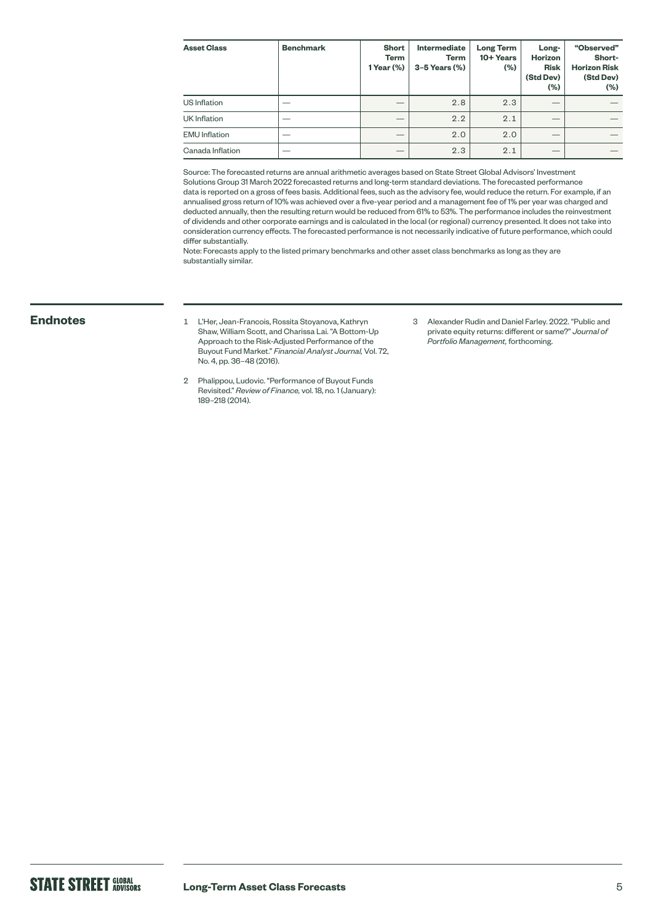| <b>Asset Class</b>   | <b>Benchmark</b> | <b>Short</b><br>Term<br>1 Year (%) | Intermediate<br><b>Term</b><br>$3-5$ Years $(\%)$ | <b>Long Term</b><br>10+ Years<br>(% ) | Long-<br><b>Horizon</b><br><b>Risk</b><br>(Std Dev)<br>$(\% )$ | "Observed"<br>Short-<br><b>Horizon Risk</b><br>(Std Dev)<br>(%) |
|----------------------|------------------|------------------------------------|---------------------------------------------------|---------------------------------------|----------------------------------------------------------------|-----------------------------------------------------------------|
| US Inflation         |                  |                                    | 2.8                                               | 2.3                                   |                                                                |                                                                 |
| UK Inflation         |                  |                                    | 2.2                                               | 2.1                                   |                                                                |                                                                 |
| <b>EMU</b> Inflation |                  |                                    | 2.0                                               | 2.0                                   |                                                                |                                                                 |
| Canada Inflation     |                  |                                    | 2.3                                               | 2.1                                   |                                                                |                                                                 |

Source: The forecasted returns are annual arithmetic averages based on State Street Global Advisors' Investment Solutions Group 31 March 2022 forecasted returns and long-term standard deviations. The forecasted performance data is reported on a gross of fees basis. Additional fees, such as the advisory fee, would reduce the return. For example, if an annualised gross return of 10% was achieved over a five-year period and a management fee of 1% per year was charged and deducted annually, then the resulting return would be reduced from 61% to 53%. The performance includes the reinvestment of dividends and other corporate earnings and is calculated in the local (or regional) currency presented. It does not take into consideration currency effects. The forecasted performance is not necessarily indicative of future performance, which could differ substantially.

Note: Forecasts apply to the listed primary benchmarks and other asset class benchmarks as long as they are substantially similar.

- **Endnotes** <sup>1</sup> L'Her, Jean-Francois, Rossita Stoyanova, Kathryn Shaw, William Scott, and Charissa Lai. "A Bottom-Up Approach to the Risk-Adjusted Performance of the Buyout Fund Market." *Financial Analyst Journal,* Vol. 72, No. 4, pp. 36–48 (2016).
	- 2 Phalippou, Ludovic. "Performance of Buyout Funds Revisited." *Review of Finance,* vol. 18, no. 1 (January): 189–218 (2014).
- 3 Alexander Rudin and Daniel Farley. 2022. "Public and private equity returns: different or same?" *Journal of Portfolio Management,* forthcoming.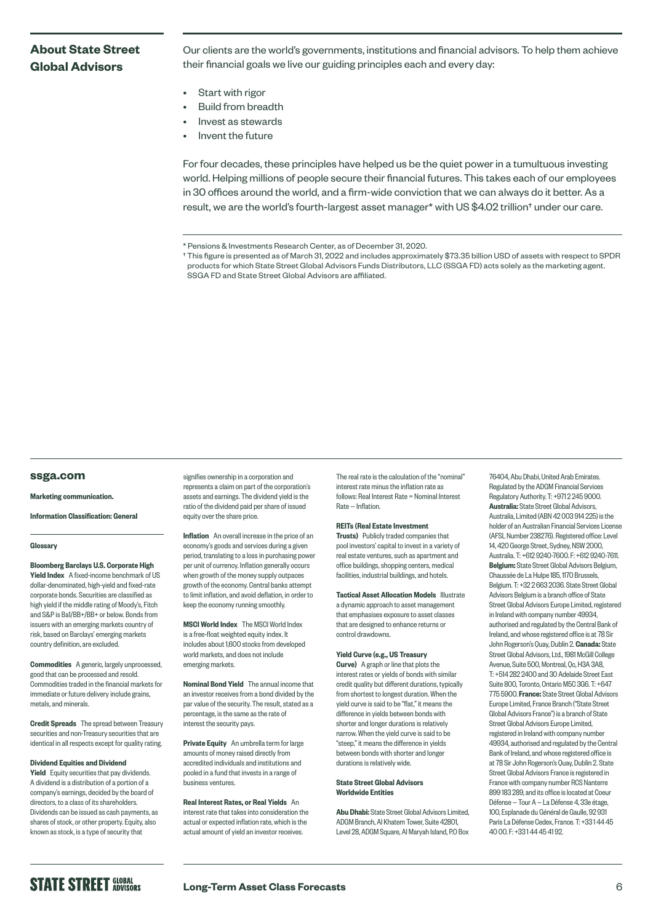# **About State Street Global Advisors**

Our clients are the world's governments, institutions and financial advisors. To help them achieve their financial goals we live our guiding principles each and every day:

- Start with rigor
- Build from breadth
- Invest as stewards
- Invent the future

For four decades, these principles have helped us be the quiet power in a tumultuous investing world. Helping millions of people secure their financial futures. This takes each of our employees in 30 offices around the world, and a firm-wide conviction that we can always do it better. As a result, we are the world's fourth-largest asset manager\* with US \$4.02 trillion† under our care.

† This figure is presented as of March 31, 2022 and includes approximately \$73.35 billion USD of assets with respect to SPDR products for which State Street Global Advisors Funds Distributors, LLC (SSGA FD) acts solely as the marketing agent. SSGA FD and State Street Global Advisors are affiliated.

### **[ssga.com](http://ssga.com)**

### Marketing communication.

Information Classification: General

### **Glossary**

Bloomberg Barclays U.S. Corporate High Yield Index A fixed-income benchmark of US dollar-denominated, high-yield and fixed-rate corporate bonds. Securities are classified as high yield if the middle rating of Moody's, Fitch and S&P is Ba1/BB+/BB+ or below. Bonds from issuers with an emerging markets country of risk, based on Barclays' emerging markets country definition, are excluded.

Commodities A generic, largely unprocessed, good that can be processed and resold. Commodities traded in the financial markets for immediate or future delivery include grains, metals, and minerals.

**Credit Spreads** The spread between Treasury securities and non-Treasury securities that are identical in all respects except for quality rating.

### Dividend Equities and Dividend

**Yield** Equity securities that pay dividends. A dividend is a distribution of a portion of a company's earnings, decided by the board of directors, to a class of its shareholders. Dividends can be issued as cash payments, as shares of stock, or other property. Equity, also known as stock, is a type of security that

signifies ownership in a corporation and represents a claim on part of the corporation's assets and earnings. The dividend yield is the ratio of the dividend paid per share of issued equity over the share price.

Inflation An overall increase in the price of an economy's goods and services during a given period, translating to a loss in purchasing power per unit of currency. Inflation generally occurs when growth of the money supply outpaces growth of the economy. Central banks attempt to limit inflation, and avoid deflation, in order to keep the economy running smoothly.

MSCI World Index The MSCI World Index is a free-float weighted equity index. It includes about 1,600 stocks from developed world markets, and does not include emerging markets.

Nominal Bond Yield The annual income that an investor receives from a bond divided by the par value of the security. The result, stated as a percentage, is the same as the rate of interest the security pays.

Private Equity An umbrella term for large amounts of money raised directly from accredited individuals and institutions and pooled in a fund that invests in a range of business ventures.

Real Interest Rates, or Real Yields An interest rate that takes into consideration the actual or expected inflation rate, which is the actual amount of yield an investor receives.

The real rate is the calculation of the "nominal" interest rate minus the inflation rate as follows: Real Interest Rate = Nominal Interest Rate — Inflation.

### REITs (Real Estate Investment

Trusts) Publicly traded companies that pool investors' capital to invest in a variety of real estate ventures, such as apartment and office buildings, shopping centers, medical facilities, industrial buildings, and hotels.

**Tactical Asset Allocation Models Illustrate** a dynamic approach to asset management that emphasises exposure to asset classes that are designed to enhance returns or control drawdowns.

### Yield Curve (e.g., US Treasury

**Curve)** A graph or line that plots the interest rates or yields of bonds with similar credit quality but different durations, typically from shortest to longest duration. When the yield curve is said to be "flat," it means the difference in yields between bonds with shorter and longer durations is relatively narrow. When the yield curve is said to be "steep," it means the difference in yields between bonds with shorter and longer durations is relatively wide.

### State Street Global Advisors Worldwide Entities

Abu Dhabi: State Street Global Advisors Limited, ADGM Branch, Al Khatem Tower, Suite 42801, Level 28, ADGM Square, Al Maryah Island, P.O Box

76404, Abu Dhabi, United Arab Emirates. Regulated by the ADGM Financial Services Regulatory Authority. T: +971 2 245 9000. Australia: State Street Global Advisors, Australia, Limited (ABN 42 003 914 225) is the holder of an Australian Financial Services License (AFSL Number 238276). Registered office: Level 14, 420 George Street, Sydney, NSW 2000, Australia. T: +612 9240-7600. F: +612 9240-7611. Belgium: State Street Global Advisors Belgium, Chaussée de La Hulpe 185, 1170 Brussels, Belgium. T: +32 2 663 2036. State Street Global Advisors Belgium is a branch office of State Street Global Advisors Europe Limited, registered in Ireland with company number 49934, authorised and regulated by the Central Bank of Ireland, and whose registered office is at 78 Sir John Rogerson's Quay, Dublin 2. Canada: State Street Global Advisors, Ltd., 1981 McGill College Avenue, Suite 500, Montreal, Qc, H3A 3A8, T: +514 282 2400 and 30 Adelaide Street East Suite 800, Toronto, Ontario M5C 3G6. T: +647 775 5900. France: State Street Global Advisors Europe Limited, France Branch ("State Street Global Advisors France") is a branch of State Street Global Advisors Europe Limited, registered in Ireland with company number 49934, authorised and regulated by the Central Bank of Ireland, and whose registered office is at 78 Sir John Rogerson's Quay, Dublin 2. State Street Global Advisors France is registered in France with company number RCS Nanterre 899 183 289, and its office is located at Coeur Défense — Tour A — La Défense 4, 33e étage, 100, Esplanade du Général de Gaulle, 92 931 Paris La Défense Cedex, France. T: +33 1 44 45 40 00. F: +33 1 44 45 41 92.

# **STATE STREET GLOBAL**

<sup>\*</sup> Pensions & Investments Research Center, as of December 31, 2020.